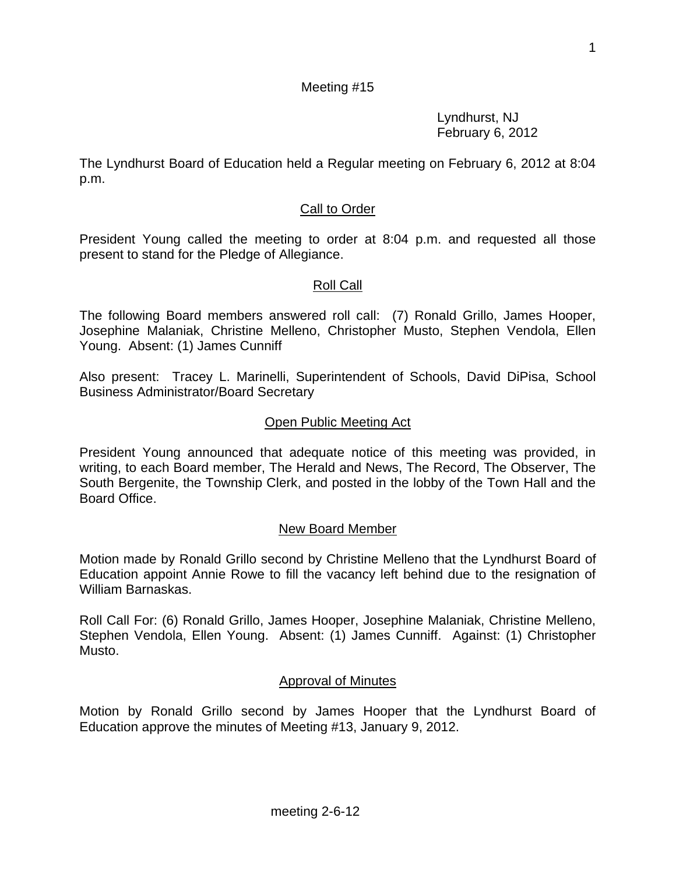### Meeting #15

Lyndhurst, NJ February 6, 2012

The Lyndhurst Board of Education held a Regular meeting on February 6, 2012 at 8:04 p.m.

### Call to Order

President Young called the meeting to order at 8:04 p.m. and requested all those present to stand for the Pledge of Allegiance.

### Roll Call

The following Board members answered roll call: (7) Ronald Grillo, James Hooper, Josephine Malaniak, Christine Melleno, Christopher Musto, Stephen Vendola, Ellen Young. Absent: (1) James Cunniff

Also present: Tracey L. Marinelli, Superintendent of Schools, David DiPisa, School Business Administrator/Board Secretary

### Open Public Meeting Act

President Young announced that adequate notice of this meeting was provided, in writing, to each Board member, The Herald and News, The Record, The Observer, The South Bergenite, the Township Clerk, and posted in the lobby of the Town Hall and the Board Office.

### New Board Member

Motion made by Ronald Grillo second by Christine Melleno that the Lyndhurst Board of Education appoint Annie Rowe to fill the vacancy left behind due to the resignation of William Barnaskas.

Roll Call For: (6) Ronald Grillo, James Hooper, Josephine Malaniak, Christine Melleno, Stephen Vendola, Ellen Young. Absent: (1) James Cunniff. Against: (1) Christopher Musto.

### Approval of Minutes

Motion by Ronald Grillo second by James Hooper that the Lyndhurst Board of Education approve the minutes of Meeting #13, January 9, 2012.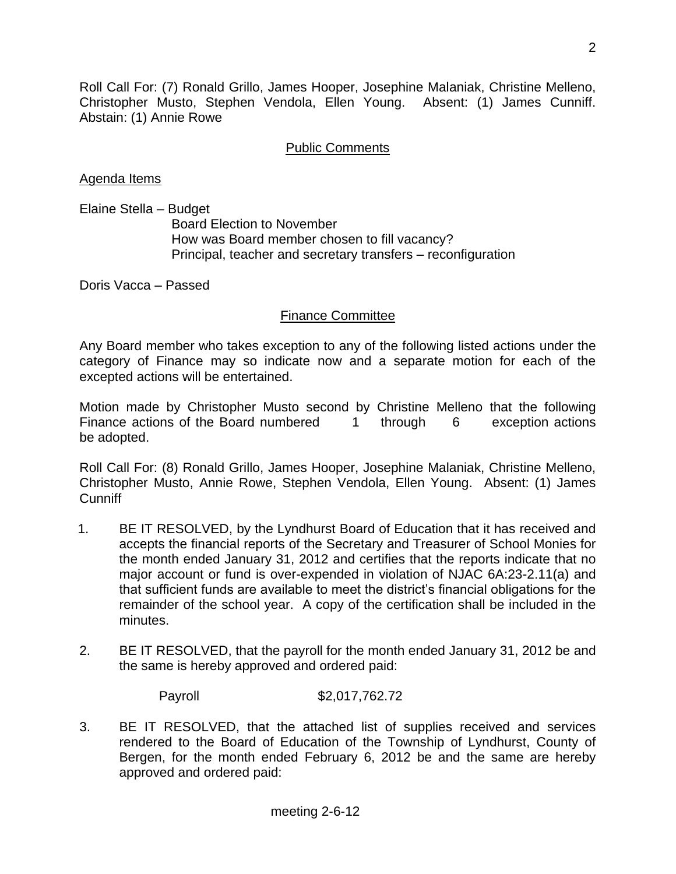Roll Call For: (7) Ronald Grillo, James Hooper, Josephine Malaniak, Christine Melleno, Christopher Musto, Stephen Vendola, Ellen Young. Absent: (1) James Cunniff. Abstain: (1) Annie Rowe

### Public Comments

Agenda Items

Elaine Stella – Budget

 Board Election to November How was Board member chosen to fill vacancy? Principal, teacher and secretary transfers – reconfiguration

Doris Vacca – Passed

### Finance Committee

Any Board member who takes exception to any of the following listed actions under the category of Finance may so indicate now and a separate motion for each of the excepted actions will be entertained.

Motion made by Christopher Musto second by Christine Melleno that the following Finance actions of the Board numbered 1 through 6 exception actions be adopted.

Roll Call For: (8) Ronald Grillo, James Hooper, Josephine Malaniak, Christine Melleno, Christopher Musto, Annie Rowe, Stephen Vendola, Ellen Young. Absent: (1) James **Cunniff** 

- 1. BE IT RESOLVED, by the Lyndhurst Board of Education that it has received and accepts the financial reports of the Secretary and Treasurer of School Monies for the month ended January 31, 2012 and certifies that the reports indicate that no major account or fund is over-expended in violation of NJAC 6A:23-2.11(a) and that sufficient funds are available to meet the district's financial obligations for the remainder of the school year. A copy of the certification shall be included in the minutes.
- 2. BE IT RESOLVED, that the payroll for the month ended January 31, 2012 be and the same is hereby approved and ordered paid:

Payroll \$2,017,762.72

3. BE IT RESOLVED, that the attached list of supplies received and services rendered to the Board of Education of the Township of Lyndhurst, County of Bergen, for the month ended February 6, 2012 be and the same are hereby approved and ordered paid: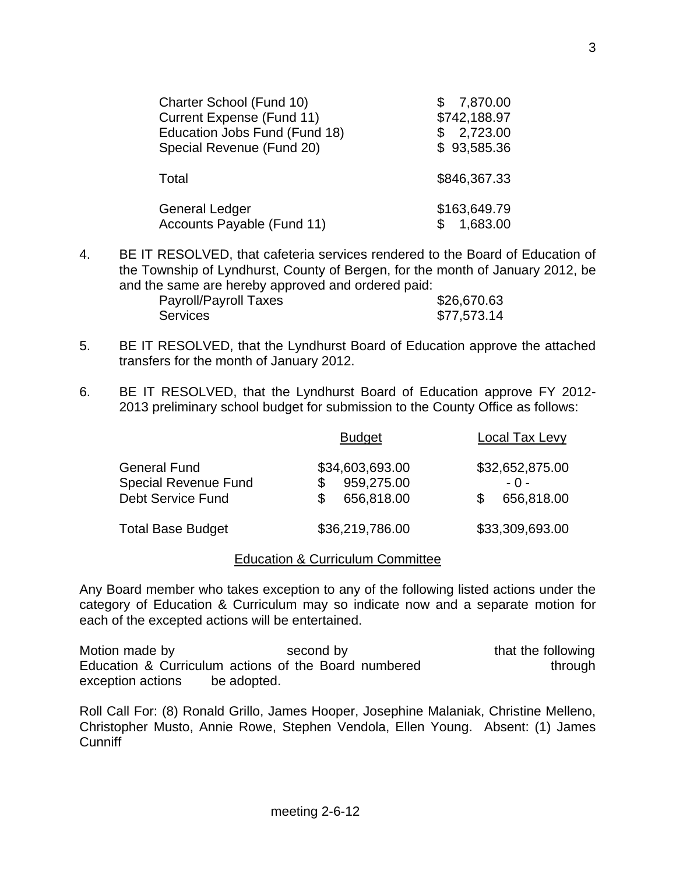| Charter School (Fund 10)<br>Current Expense (Fund 11)<br>Education Jobs Fund (Fund 18)<br>Special Revenue (Fund 20) | 7,870.00<br>\$742,188.97<br>2,723.00<br>S<br>\$93,585.36 |
|---------------------------------------------------------------------------------------------------------------------|----------------------------------------------------------|
| Total                                                                                                               | \$846,367.33                                             |
| General Ledger<br>Accounts Payable (Fund 11)                                                                        | \$163,649.79<br>1,683.00                                 |

4. BE IT RESOLVED, that cafeteria services rendered to the Board of Education of the Township of Lyndhurst, County of Bergen, for the month of January 2012, be and the same are hereby approved and ordered paid:

| <b>Payroll/Payroll Taxes</b> | \$26,670.63 |
|------------------------------|-------------|
| Services                     | \$77,573.14 |

- 5. BE IT RESOLVED, that the Lyndhurst Board of Education approve the attached transfers for the month of January 2012.
- 6. BE IT RESOLVED, that the Lyndhurst Board of Education approve FY 2012- 2013 preliminary school budget for submission to the County Office as follows:

|                                                                                | <b>Budget</b>                               | <b>Local Tax Levy</b>                  |
|--------------------------------------------------------------------------------|---------------------------------------------|----------------------------------------|
| <b>General Fund</b><br><b>Special Revenue Fund</b><br><b>Debt Service Fund</b> | \$34,603,693.00<br>959,275.00<br>656,818.00 | \$32,652,875.00<br>- 0 -<br>656,818.00 |
| <b>Total Base Budget</b>                                                       | \$36,219,786.00                             | \$33,309,693.00                        |

#### Education & Curriculum Committee

Any Board member who takes exception to any of the following listed actions under the category of Education & Curriculum may so indicate now and a separate motion for each of the excepted actions will be entertained.

Motion made by the second by that the following that the following Education & Curriculum actions of the Board numbered through exception actions be adopted.

Roll Call For: (8) Ronald Grillo, James Hooper, Josephine Malaniak, Christine Melleno, Christopher Musto, Annie Rowe, Stephen Vendola, Ellen Young. Absent: (1) James **Cunniff**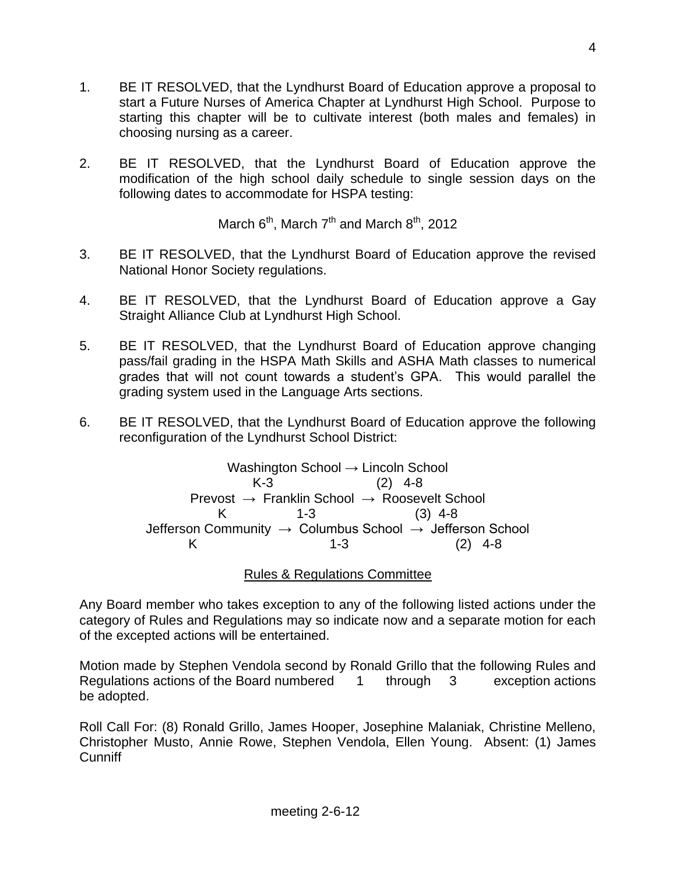- 1. BE IT RESOLVED, that the Lyndhurst Board of Education approve a proposal to start a Future Nurses of America Chapter at Lyndhurst High School. Purpose to starting this chapter will be to cultivate interest (both males and females) in choosing nursing as a career.
- 2. BE IT RESOLVED, that the Lyndhurst Board of Education approve the modification of the high school daily schedule to single session days on the following dates to accommodate for HSPA testing:

March  $6<sup>th</sup>$ , March  $7<sup>th</sup>$  and March  $8<sup>th</sup>$ , 2012

- 3. BE IT RESOLVED, that the Lyndhurst Board of Education approve the revised National Honor Society regulations.
- 4. BE IT RESOLVED, that the Lyndhurst Board of Education approve a Gay Straight Alliance Club at Lyndhurst High School.
- 5. BE IT RESOLVED, that the Lyndhurst Board of Education approve changing pass/fail grading in the HSPA Math Skills and ASHA Math classes to numerical grades that will not count towards a student's GPA. This would parallel the grading system used in the Language Arts sections.
- 6. BE IT RESOLVED, that the Lyndhurst Board of Education approve the following reconfiguration of the Lyndhurst School District:

Washington School → Lincoln School K-3 (2) 4-8 Prevost  $\rightarrow$  Franklin School  $\rightarrow$  Roosevelt School K 1-3 (3) 4-8 Jefferson Community → Columbus School → Jefferson School K 1-3 (2) 4-8

Rules & Regulations Committee

Any Board member who takes exception to any of the following listed actions under the category of Rules and Regulations may so indicate now and a separate motion for each of the excepted actions will be entertained.

Motion made by Stephen Vendola second by Ronald Grillo that the following Rules and Regulations actions of the Board numbered 1 through 3 exception actions be adopted.

Roll Call For: (8) Ronald Grillo, James Hooper, Josephine Malaniak, Christine Melleno, Christopher Musto, Annie Rowe, Stephen Vendola, Ellen Young. Absent: (1) James **Cunniff**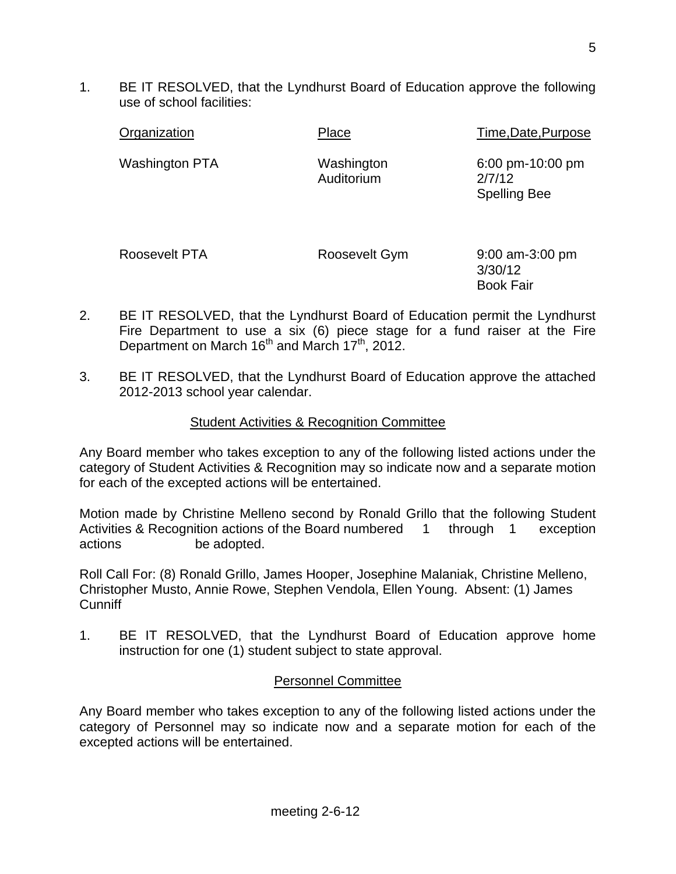1. BE IT RESOLVED, that the Lyndhurst Board of Education approve the following use of school facilities:

| Organization          | Place                    | Time, Date, Purpose                               |
|-----------------------|--------------------------|---------------------------------------------------|
| <b>Washington PTA</b> | Washington<br>Auditorium | 6:00 pm-10:00 pm<br>2/7/12<br><b>Spelling Bee</b> |
| Roosevelt PTA         | Roosevelt Gym            | $9:00$ am-3:00 pm<br>3/30/12<br><b>Book Fair</b>  |

- 2. BE IT RESOLVED, that the Lyndhurst Board of Education permit the Lyndhurst Fire Department to use a six (6) piece stage for a fund raiser at the Fire Department on March 16<sup>th</sup> and March 17<sup>th</sup>, 2012.
- 3. BE IT RESOLVED, that the Lyndhurst Board of Education approve the attached 2012-2013 school year calendar.

### Student Activities & Recognition Committee

Any Board member who takes exception to any of the following listed actions under the category of Student Activities & Recognition may so indicate now and a separate motion for each of the excepted actions will be entertained.

Motion made by Christine Melleno second by Ronald Grillo that the following Student Activities & Recognition actions of the Board numbered 1 through 1 exception actions be adopted.

Roll Call For: (8) Ronald Grillo, James Hooper, Josephine Malaniak, Christine Melleno, Christopher Musto, Annie Rowe, Stephen Vendola, Ellen Young. Absent: (1) James Cunniff

1. BE IT RESOLVED, that the Lyndhurst Board of Education approve home instruction for one (1) student subject to state approval.

### Personnel Committee

Any Board member who takes exception to any of the following listed actions under the category of Personnel may so indicate now and a separate motion for each of the excepted actions will be entertained.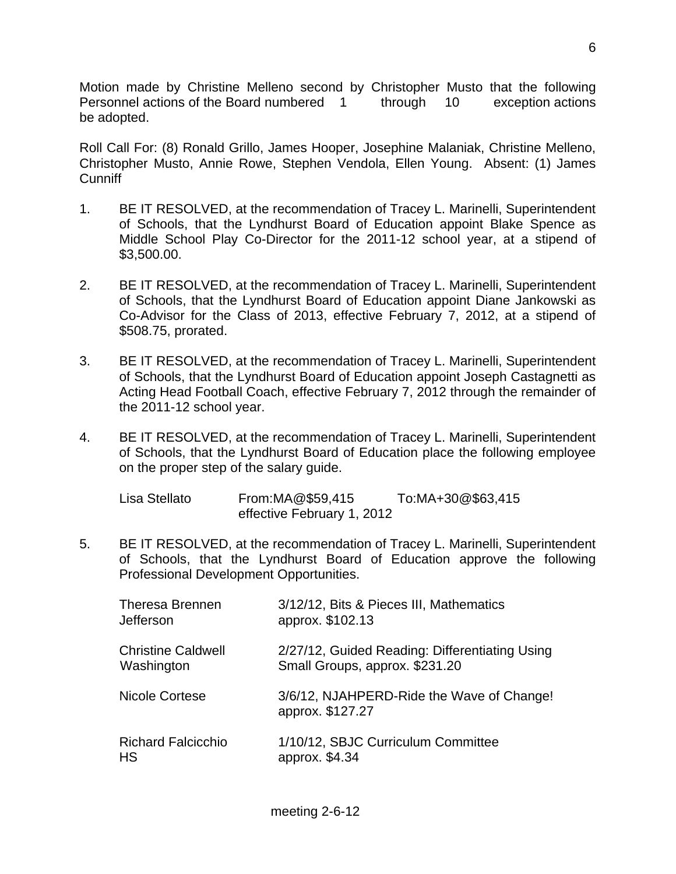Motion made by Christine Melleno second by Christopher Musto that the following Personnel actions of the Board numbered 1 through 10 exception actions be adopted.

Roll Call For: (8) Ronald Grillo, James Hooper, Josephine Malaniak, Christine Melleno, Christopher Musto, Annie Rowe, Stephen Vendola, Ellen Young. Absent: (1) James **Cunniff** 

- 1. BE IT RESOLVED, at the recommendation of Tracey L. Marinelli, Superintendent of Schools, that the Lyndhurst Board of Education appoint Blake Spence as Middle School Play Co-Director for the 2011-12 school year, at a stipend of \$3,500.00.
- 2. BE IT RESOLVED, at the recommendation of Tracey L. Marinelli, Superintendent of Schools, that the Lyndhurst Board of Education appoint Diane Jankowski as Co-Advisor for the Class of 2013, effective February 7, 2012, at a stipend of \$508.75, prorated.
- 3. BE IT RESOLVED, at the recommendation of Tracey L. Marinelli, Superintendent of Schools, that the Lyndhurst Board of Education appoint Joseph Castagnetti as Acting Head Football Coach, effective February 7, 2012 through the remainder of the 2011-12 school year.
- 4. BE IT RESOLVED, at the recommendation of Tracey L. Marinelli, Superintendent of Schools, that the Lyndhurst Board of Education place the following employee on the proper step of the salary guide.

| Lisa Stellato | From: MA@\$59,415          | To:MA+30@\$63,415 |
|---------------|----------------------------|-------------------|
|               | effective February 1, 2012 |                   |

5. BE IT RESOLVED, at the recommendation of Tracey L. Marinelli, Superintendent of Schools, that the Lyndhurst Board of Education approve the following Professional Development Opportunities.

| <b>Theresa Brennen</b><br>Jefferson     | 3/12/12, Bits & Pieces III, Mathematics<br>approx. \$102.13                      |  |
|-----------------------------------------|----------------------------------------------------------------------------------|--|
| <b>Christine Caldwell</b><br>Washington | 2/27/12, Guided Reading: Differentiating Using<br>Small Groups, approx. \$231.20 |  |
| <b>Nicole Cortese</b>                   | 3/6/12, NJAHPERD-Ride the Wave of Change!<br>approx. \$127.27                    |  |
| <b>Richard Falcicchio</b><br>HS         | 1/10/12, SBJC Curriculum Committee<br>approx. \$4.34                             |  |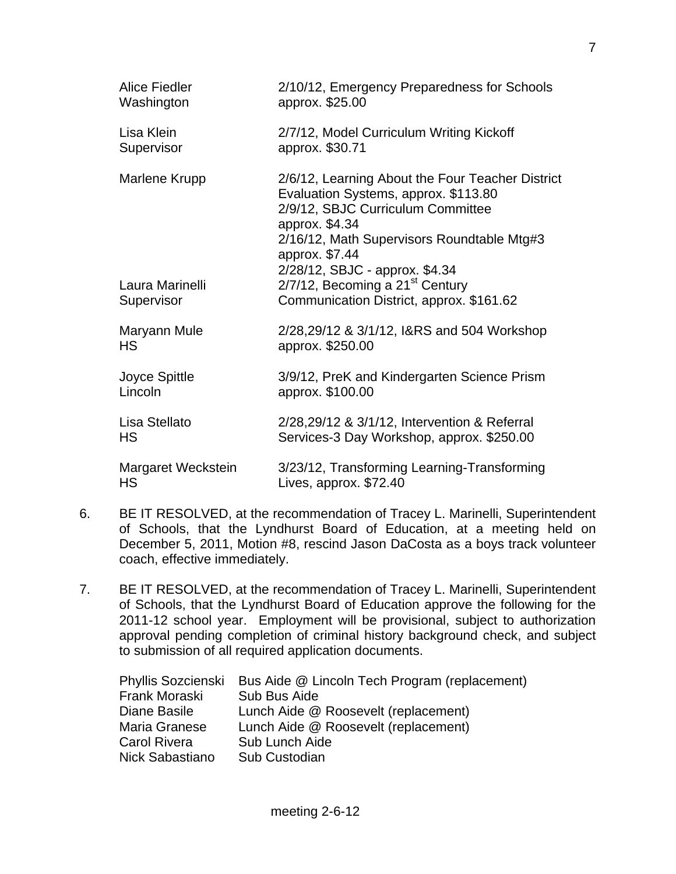| <b>Alice Fiedler</b> | 2/10/12, Emergency Preparedness for Schools                                                                                                                                                                                                       |
|----------------------|---------------------------------------------------------------------------------------------------------------------------------------------------------------------------------------------------------------------------------------------------|
| Washington           | approx. \$25.00                                                                                                                                                                                                                                   |
| Lisa Klein           | 2/7/12, Model Curriculum Writing Kickoff                                                                                                                                                                                                          |
| Supervisor           | approx. \$30.71                                                                                                                                                                                                                                   |
| Marlene Krupp        | 2/6/12, Learning About the Four Teacher District<br>Evaluation Systems, approx. \$113.80<br>2/9/12, SBJC Curriculum Committee<br>approx. \$4.34<br>2/16/12, Math Supervisors Roundtable Mtg#3<br>approx. \$7.44<br>2/28/12, SBJC - approx. \$4.34 |
| Laura Marinelli      | 2/7/12, Becoming a 21 <sup>st</sup> Century                                                                                                                                                                                                       |
| Supervisor           | Communication District, approx. \$161.62                                                                                                                                                                                                          |
| Maryann Mule         | 2/28,29/12 & 3/1/12, I&RS and 504 Workshop                                                                                                                                                                                                        |
| <b>HS</b>            | approx. \$250.00                                                                                                                                                                                                                                  |
| Joyce Spittle        | 3/9/12, PreK and Kindergarten Science Prism                                                                                                                                                                                                       |
| Lincoln              | approx. \$100.00                                                                                                                                                                                                                                  |
| Lisa Stellato        | 2/28,29/12 & 3/1/12, Intervention & Referral                                                                                                                                                                                                      |
| HS                   | Services-3 Day Workshop, approx. \$250.00                                                                                                                                                                                                         |
| Margaret Weckstein   | 3/23/12, Transforming Learning-Transforming                                                                                                                                                                                                       |
| HS                   | Lives, approx. \$72.40                                                                                                                                                                                                                            |

- 6. BE IT RESOLVED, at the recommendation of Tracey L. Marinelli, Superintendent of Schools, that the Lyndhurst Board of Education, at a meeting held on December 5, 2011, Motion #8, rescind Jason DaCosta as a boys track volunteer coach, effective immediately.
- 7. BE IT RESOLVED, at the recommendation of Tracey L. Marinelli, Superintendent of Schools, that the Lyndhurst Board of Education approve the following for the 2011-12 school year. Employment will be provisional, subject to authorization approval pending completion of criminal history background check, and subject to submission of all required application documents.

| Phyllis Sozcienski | Bus Aide @ Lincoln Tech Program (replacement) |
|--------------------|-----------------------------------------------|
| Frank Moraski      | Sub Bus Aide                                  |
| Diane Basile       | Lunch Aide @ Roosevelt (replacement)          |
| Maria Granese      | Lunch Aide @ Roosevelt (replacement)          |
| Carol Rivera       | Sub Lunch Aide                                |
| Nick Sabastiano    | Sub Custodian                                 |
|                    |                                               |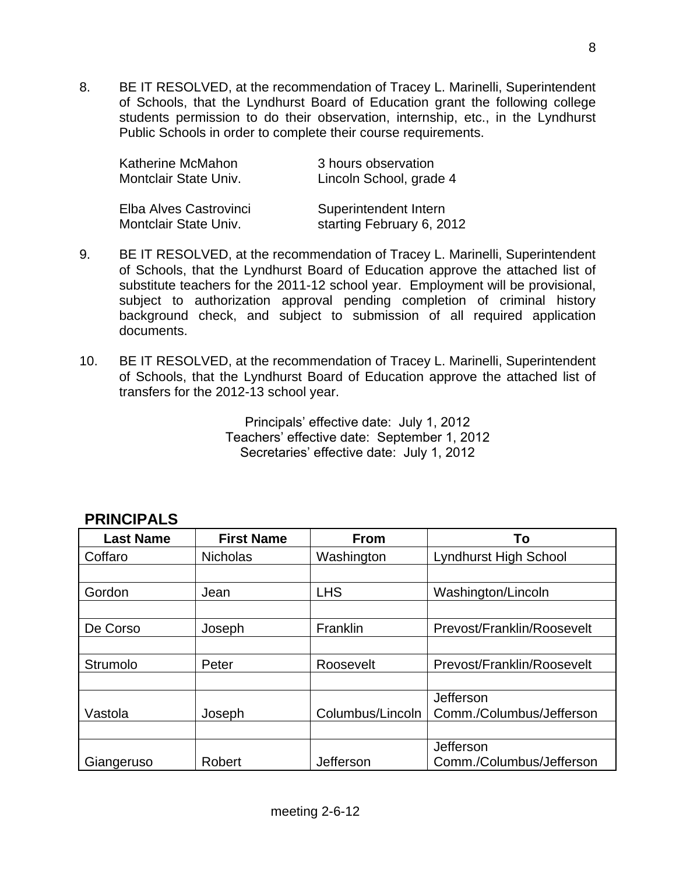8. BE IT RESOLVED, at the recommendation of Tracey L. Marinelli, Superintendent of Schools, that the Lyndhurst Board of Education grant the following college students permission to do their observation, internship, etc., in the Lyndhurst Public Schools in order to complete their course requirements.

| Katherine McMahon      | 3 hours observation       |
|------------------------|---------------------------|
| Montclair State Univ.  | Lincoln School, grade 4   |
| Elba Alves Castrovinci | Superintendent Intern     |
| Montclair State Univ.  | starting February 6, 2012 |

- 9. BE IT RESOLVED, at the recommendation of Tracey L. Marinelli, Superintendent of Schools, that the Lyndhurst Board of Education approve the attached list of substitute teachers for the 2011-12 school year. Employment will be provisional, subject to authorization approval pending completion of criminal history background check, and subject to submission of all required application documents.
- 10. BE IT RESOLVED, at the recommendation of Tracey L. Marinelli, Superintendent of Schools, that the Lyndhurst Board of Education approve the attached list of transfers for the 2012-13 school year.

Principals' effective date: July 1, 2012 Teachers' effective date: September 1, 2012 Secretaries' effective date: July 1, 2012

| <b>Last Name</b> | <b>First Name</b> | <b>From</b>      | To                         |
|------------------|-------------------|------------------|----------------------------|
| Coffaro          | <b>Nicholas</b>   | Washington       | Lyndhurst High School      |
|                  |                   |                  |                            |
| Gordon           | Jean              | <b>LHS</b>       | Washington/Lincoln         |
|                  |                   |                  |                            |
| De Corso         | Joseph            | Franklin         | Prevost/Franklin/Roosevelt |
|                  |                   |                  |                            |
| Strumolo         | Peter             | Roosevelt        | Prevost/Franklin/Roosevelt |
|                  |                   |                  |                            |
|                  |                   |                  | Jefferson                  |
| Vastola          | Joseph            | Columbus/Lincoln | Comm./Columbus/Jefferson   |
|                  |                   |                  |                            |
|                  |                   |                  | Jefferson                  |
| Giangeruso       | Robert            | Jefferson        | Comm./Columbus/Jefferson   |

# **PRINCIPALS**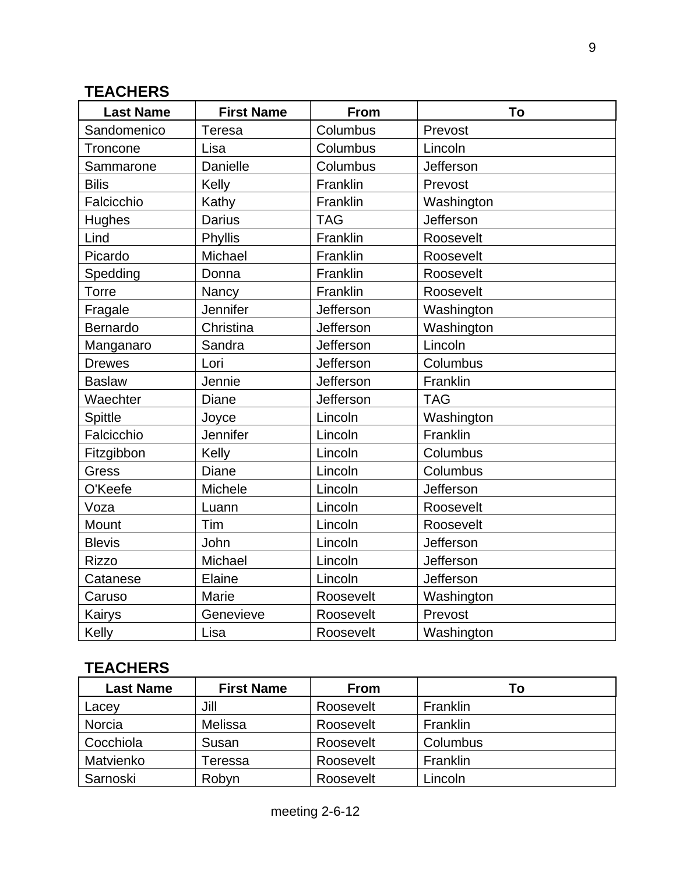# **TEACHERS**

| <b>Last Name</b> | <b>First Name</b> | <b>From</b> | To         |
|------------------|-------------------|-------------|------------|
| Sandomenico      | Teresa            | Columbus    | Prevost    |
| Troncone         | Lisa              | Columbus    | Lincoln    |
| Sammarone        | Danielle          | Columbus    | Jefferson  |
| <b>Bilis</b>     | Kelly             | Franklin    | Prevost    |
| Falcicchio       | Kathy             | Franklin    | Washington |
| Hughes           | <b>Darius</b>     | <b>TAG</b>  | Jefferson  |
| Lind             | Phyllis           | Franklin    | Roosevelt  |
| Picardo          | Michael           | Franklin    | Roosevelt  |
| Spedding         | Donna             | Franklin    | Roosevelt  |
| Torre            | Nancy             | Franklin    | Roosevelt  |
| Fragale          | Jennifer          | Jefferson   | Washington |
| Bernardo         | Christina         | Jefferson   | Washington |
| Manganaro        | Sandra            | Jefferson   | Lincoln    |
| <b>Drewes</b>    | Lori              | Jefferson   | Columbus   |
| <b>Baslaw</b>    | Jennie            | Jefferson   | Franklin   |
| Waechter         | Diane             | Jefferson   | <b>TAG</b> |
| <b>Spittle</b>   | Joyce             | Lincoln     | Washington |
| Falcicchio       | Jennifer          | Lincoln     | Franklin   |
| Fitzgibbon       | Kelly             | Lincoln     | Columbus   |
| Gress            | Diane             | Lincoln     | Columbus   |
| O'Keefe          | Michele           | Lincoln     | Jefferson  |
| Voza             | Luann             | Lincoln     | Roosevelt  |
| Mount            | Tim               | Lincoln     | Roosevelt  |
| <b>Blevis</b>    | John              | Lincoln     | Jefferson  |
| <b>Rizzo</b>     | Michael           | Lincoln     | Jefferson  |
| Catanese         | Elaine            | Lincoln     | Jefferson  |
| Caruso           | Marie             | Roosevelt   | Washington |
| Kairys           | Genevieve         | Roosevelt   | Prevost    |
| Kelly            | Lisa              | Roosevelt   | Washington |

# **TEACHERS**

| <b>Last Name</b> | <b>First Name</b> | <b>From</b> | To       |
|------------------|-------------------|-------------|----------|
| Lacey            | Jill              | Roosevelt   | Franklin |
| Norcia           | Melissa           | Roosevelt   | Franklin |
| Cocchiola        | Susan             | Roosevelt   | Columbus |
| Matvienko        | Геressa           | Roosevelt   | Franklin |
| Sarnoski         | Robyn             | Roosevelt   | Lincoln  |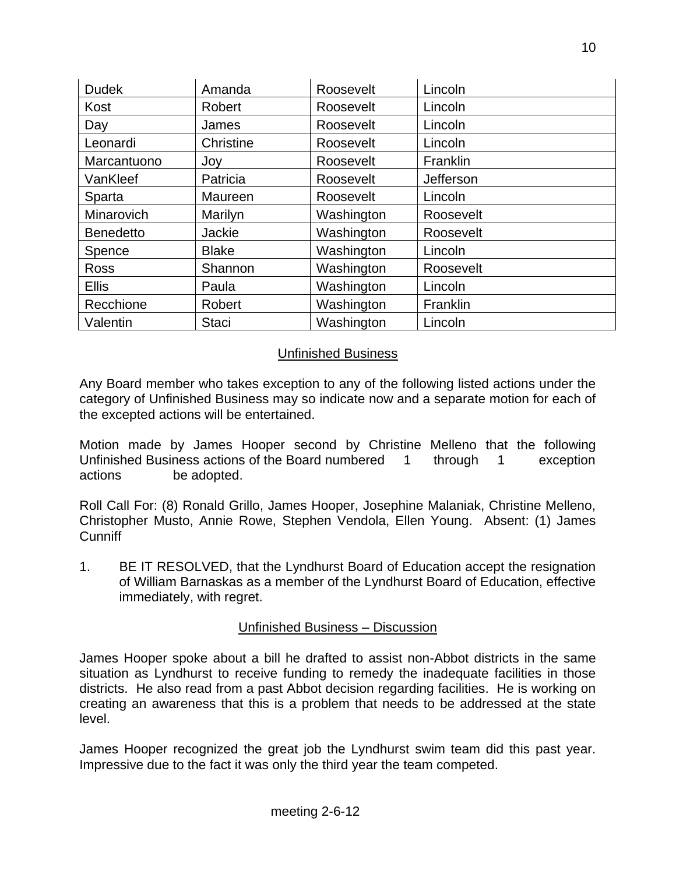| <b>Dudek</b>     | Amanda       | Roosevelt  | Lincoln   |
|------------------|--------------|------------|-----------|
| Kost             | Robert       | Roosevelt  | Lincoln   |
| Day              | James        | Roosevelt  | Lincoln   |
| Leonardi         | Christine    | Roosevelt  | Lincoln   |
| Marcantuono      | Joy          | Roosevelt  | Franklin  |
| VanKleef         | Patricia     | Roosevelt  | Jefferson |
| Sparta           | Maureen      | Roosevelt  | Lincoln   |
| Minarovich       | Marilyn      | Washington | Roosevelt |
| <b>Benedetto</b> | Jackie       | Washington | Roosevelt |
| Spence           | <b>Blake</b> | Washington | Lincoln   |
| Ross             | Shannon      | Washington | Roosevelt |
| <b>Ellis</b>     | Paula        | Washington | Lincoln   |
| Recchione        | Robert       | Washington | Franklin  |
| Valentin         | <b>Staci</b> | Washington | Lincoln   |

### Unfinished Business

Any Board member who takes exception to any of the following listed actions under the category of Unfinished Business may so indicate now and a separate motion for each of the excepted actions will be entertained.

Motion made by James Hooper second by Christine Melleno that the following Unfinished Business actions of the Board numbered 1 through 1 exception actions be adopted.

Roll Call For: (8) Ronald Grillo, James Hooper, Josephine Malaniak, Christine Melleno, Christopher Musto, Annie Rowe, Stephen Vendola, Ellen Young. Absent: (1) James **Cunniff** 

1. BE IT RESOLVED, that the Lyndhurst Board of Education accept the resignation of William Barnaskas as a member of the Lyndhurst Board of Education, effective immediately, with regret.

### Unfinished Business – Discussion

James Hooper spoke about a bill he drafted to assist non-Abbot districts in the same situation as Lyndhurst to receive funding to remedy the inadequate facilities in those districts. He also read from a past Abbot decision regarding facilities. He is working on creating an awareness that this is a problem that needs to be addressed at the state level.

James Hooper recognized the great job the Lyndhurst swim team did this past year. Impressive due to the fact it was only the third year the team competed.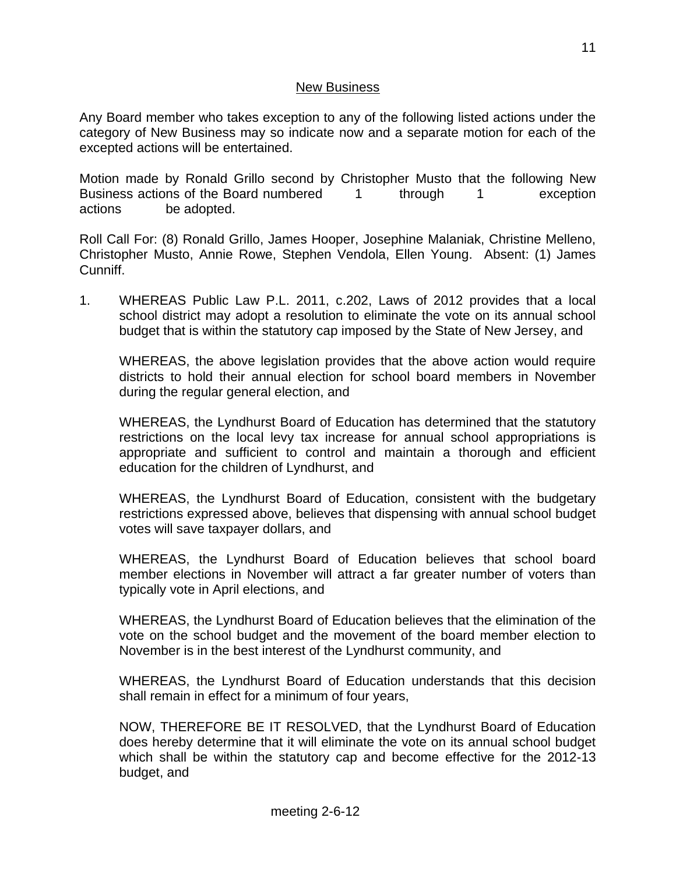### New Business

Any Board member who takes exception to any of the following listed actions under the category of New Business may so indicate now and a separate motion for each of the excepted actions will be entertained.

Motion made by Ronald Grillo second by Christopher Musto that the following New Business actions of the Board numbered 1 through 1 exception actions be adopted.

Roll Call For: (8) Ronald Grillo, James Hooper, Josephine Malaniak, Christine Melleno, Christopher Musto, Annie Rowe, Stephen Vendola, Ellen Young. Absent: (1) James Cunniff.

1. WHEREAS Public Law P.L. 2011, c.202, Laws of 2012 provides that a local school district may adopt a resolution to eliminate the vote on its annual school budget that is within the statutory cap imposed by the State of New Jersey, and

WHEREAS, the above legislation provides that the above action would require districts to hold their annual election for school board members in November during the regular general election, and

WHEREAS, the Lyndhurst Board of Education has determined that the statutory restrictions on the local levy tax increase for annual school appropriations is appropriate and sufficient to control and maintain a thorough and efficient education for the children of Lyndhurst, and

WHEREAS, the Lyndhurst Board of Education, consistent with the budgetary restrictions expressed above, believes that dispensing with annual school budget votes will save taxpayer dollars, and

WHEREAS, the Lyndhurst Board of Education believes that school board member elections in November will attract a far greater number of voters than typically vote in April elections, and

WHEREAS, the Lyndhurst Board of Education believes that the elimination of the vote on the school budget and the movement of the board member election to November is in the best interest of the Lyndhurst community, and

WHEREAS, the Lyndhurst Board of Education understands that this decision shall remain in effect for a minimum of four years,

NOW, THEREFORE BE IT RESOLVED, that the Lyndhurst Board of Education does hereby determine that it will eliminate the vote on its annual school budget which shall be within the statutory cap and become effective for the 2012-13 budget, and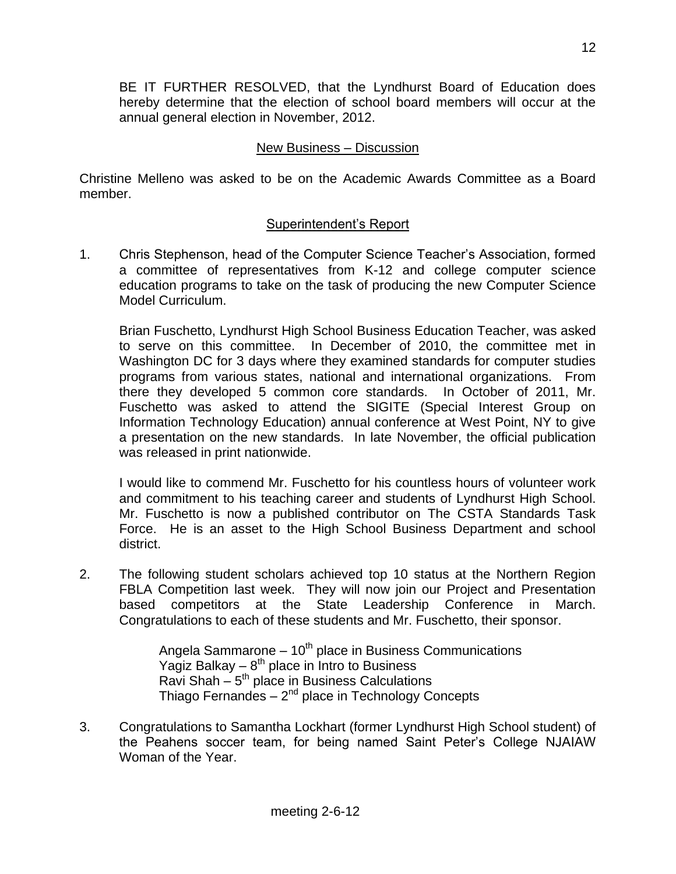BE IT FURTHER RESOLVED, that the Lyndhurst Board of Education does hereby determine that the election of school board members will occur at the annual general election in November, 2012.

### New Business – Discussion

Christine Melleno was asked to be on the Academic Awards Committee as a Board member.

## Superintendent's Report

1. Chris Stephenson, head of the Computer Science Teacher's Association, formed a committee of representatives from K-12 and college computer science education programs to take on the task of producing the new Computer Science Model Curriculum.

Brian Fuschetto, Lyndhurst High School Business Education Teacher, was asked to serve on this committee. In December of 2010, the committee met in Washington DC for 3 days where they examined standards for computer studies programs from various states, national and international organizations. From there they developed 5 common core standards. In October of 2011, Mr. Fuschetto was asked to attend the SIGITE (Special Interest Group on Information Technology Education) annual conference at West Point, NY to give a presentation on the new standards. In late November, the official publication was released in print nationwide.

I would like to commend Mr. Fuschetto for his countless hours of volunteer work and commitment to his teaching career and students of Lyndhurst High School. Mr. Fuschetto is now a published contributor on The CSTA Standards Task Force. He is an asset to the High School Business Department and school district.

2. The following student scholars achieved top 10 status at the Northern Region FBLA Competition last week. They will now join our Project and Presentation based competitors at the State Leadership Conference in March. Congratulations to each of these students and Mr. Fuschetto, their sponsor.

> Angela Sammarone  $-10^{th}$  place in Business Communications Yagiz Balkay  $-8^{th}$  place in Intro to Business Ravi Shah – 5<sup>th</sup> place in Business Calculations Thiago Fernandes  $-2^{nd}$  place in Technology Concepts

3. Congratulations to Samantha Lockhart (former Lyndhurst High School student) of the Peahens soccer team, for being named Saint Peter's College NJAIAW Woman of the Year.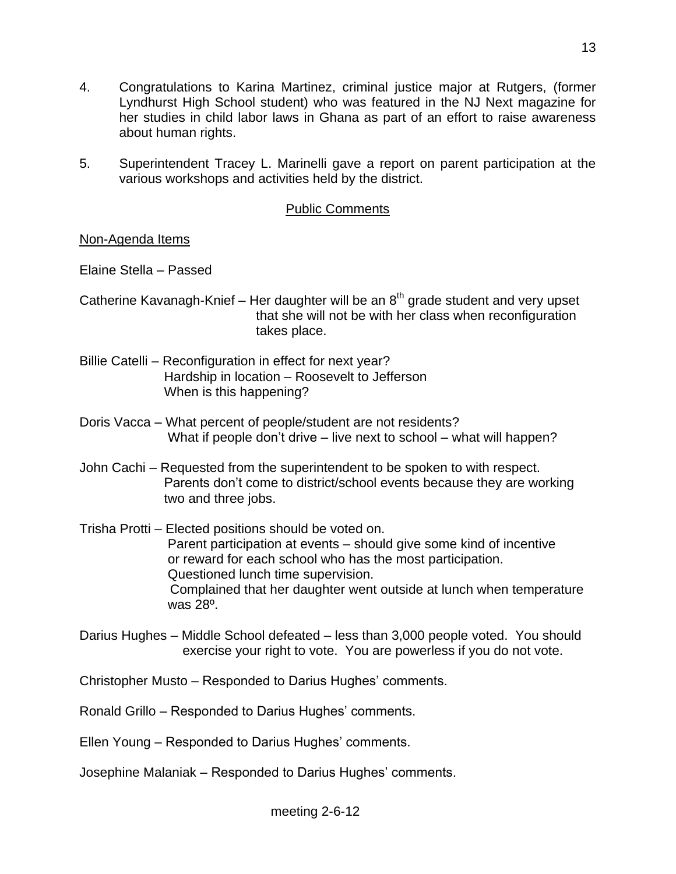- 4. Congratulations to Karina Martinez, criminal justice major at Rutgers, (former Lyndhurst High School student) who was featured in the NJ Next magazine for her studies in child labor laws in Ghana as part of an effort to raise awareness about human rights.
- 5. Superintendent Tracey L. Marinelli gave a report on parent participation at the various workshops and activities held by the district.

### Public Comments

### Non-Agenda Items

Elaine Stella – Passed

- Catherine Kavanagh-Knief Her daughter will be an  $8<sup>th</sup>$  grade student and very upset that she will not be with her class when reconfiguration takes place.
- Billie Catelli Reconfiguration in effect for next year? Hardship in location – Roosevelt to Jefferson When is this happening?
- Doris Vacca What percent of people/student are not residents? What if people don't drive – live next to school – what will happen?
- John Cachi Requested from the superintendent to be spoken to with respect. Parents don't come to district/school events because they are working two and three jobs.
- Trisha Protti Elected positions should be voted on. Parent participation at events – should give some kind of incentive or reward for each school who has the most participation. Questioned lunch time supervision. Complained that her daughter went outside at lunch when temperature was 28º.
- Darius Hughes Middle School defeated less than 3,000 people voted. You should exercise your right to vote. You are powerless if you do not vote.

Christopher Musto – Responded to Darius Hughes' comments.

Ronald Grillo – Responded to Darius Hughes' comments.

Ellen Young – Responded to Darius Hughes' comments.

Josephine Malaniak – Responded to Darius Hughes' comments.